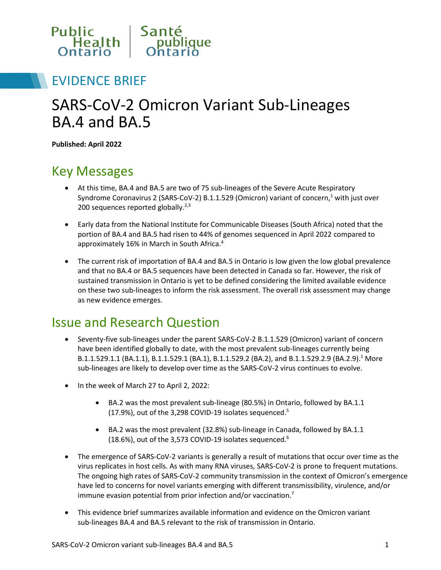

### EVIDENCE BRIEF

# SARS-CoV-2 Omicron Variant Sub-Lineages BA.4 and BA.5

**Published: April 2022**

### Key Messages

- At this time, BA.4 and BA.5 are two of 75 sub-lineages of the Severe Acute Respiratory Syndrome Coronavirus 2 (SARS-CoV-2) B.1.1.529 (Omicron) variant of concern, $<sup>1</sup>$  with just over</sup> 200 sequences reported globally. $2,3$
- Early data from the National Institute for Communicable Diseases (South Africa) noted that the portion of BA.4 and BA.5 had risen to 44% of genomes sequenced in April 2022 compared to approximately 16% in March in South Africa.4
- The current risk of importation of BA.4 and BA.5 in Ontario is low given the low global prevalence and that no BA.4 or BA.5 sequences have been detected in Canada so far. However, the risk of sustained transmission in Ontario is yet to be defined considering the limited available evidence on these two sub-lineages to inform the risk assessment. The overall risk assessment may change as new evidence emerges.

### Issue and Research Question

- Seventy-five sub-lineages under the parent SARS-CoV-2 B.1.1.529 (Omicron) variant of concern have been identified globally to date, with the most prevalent sub-lineages currently being B.1.1.529.1.1 (BA.1.1), B.1.1.529.1 (BA.1), B.1.1.529.2 (BA.2), and B.1.1.529.2.9 (BA.2.9).<sup>1</sup> More sub-lineages are likely to develop over time as the SARS-CoV-2 virus continues to evolve.
- In the week of March 27 to April 2, 2022:
	- BA.2 was the most prevalent sub-lineage (80.5%) in Ontario, followed by BA.1.1 (17.9%), out of the 3,298 COVID-19 isolates sequenced.5
	- BA.2 was the most prevalent (32.8%) sub-lineage in Canada, followed by BA.1.1 (18.6%), out of the 3,573 COVID-19 isolates sequenced.6
- The emergence of SARS-CoV-2 variants is generally a result of mutations that occur over time as the virus replicates in host cells. As with many RNA viruses, SARS-CoV-2 is prone to frequent mutations. The ongoing high rates of SARS-CoV-2 community transmission in the context of Omicron's emergence have led to concerns for novel variants emerging with different transmissibility, virulence, and/or immune evasion potential from prior infection and/or vaccination.7
- This evidence brief summarizes available information and evidence on the Omicron variant sub-lineages BA.4 and BA.5 relevant to the risk of transmission in Ontario.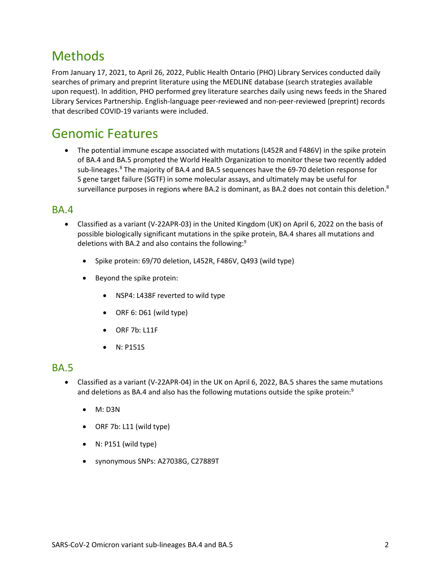### **Methods**

From January 17, 2021, to April 26, 2022, Public Health Ontario (PHO) Library Services conducted daily searches of primary and preprint literature using the MEDLINE database (search strategies available upon request). In addition, PHO performed grey literature searches daily using news feeds in the Shared Library Services Partnership. English-language peer-reviewed and non-peer-reviewed (preprint) records that described COVID-19 variants were included.

### Genomic Features

• The potential immune escape associated with mutations (L452R and F486V) in the spike protein of BA.4 and BA.5 prompted the World Health Organization to monitor these two recently added sub-lineages.<sup>8</sup> The majority of BA.4 and BA.5 sequences have the 69-70 deletion response for S gene target failure (SGTF) in some molecular assays, and ultimately may be useful for surveillance purposes in regions where BA.2 is dominant, as BA.2 does not contain this deletion.<sup>8</sup>

#### BA.4

- Classified as a variant (V-22APR-03) in the United Kingdom (UK) on April 6, 2022 on the basis of possible biologically significant mutations in the spike protein, BA.4 shares all mutations and deletions with BA.2 and also contains the following:9
	- Spike protein: 69/70 deletion, L452R, F486V, Q493 (wild type)
	- Beyond the spike protein:
		- NSP4: L438F reverted to wild type
		- ORF 6: D61 (wild type)
		- ORF 7b: L11F
		- N: P151S

#### BA.5

- Classified as a variant (V-22APR-04) in the UK on April 6, 2022, BA.5 shares the same mutations and deletions as BA.4 and also has the following mutations outside the spike protein:<sup>9</sup>
	- M: D3N
	- ORF 7b: L11 (wild type)
	- N: P151 (wild type)
	- synonymous SNPs: A27038G, C27889T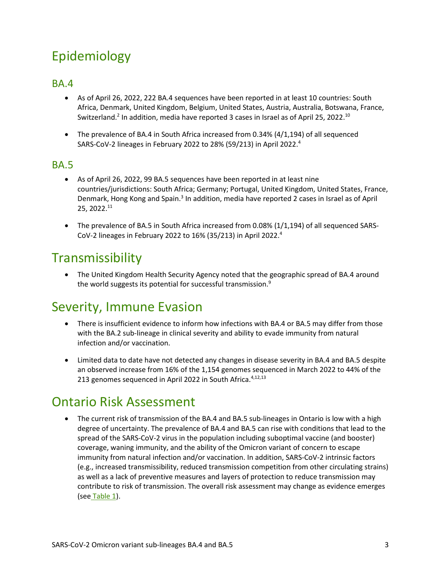# Epidemiology

#### BA.4

- As of April 26, 2022, 222 BA.4 sequences have been reported in at least 10 countries: South Africa, Denmark, United Kingdom, Belgium, United States, Austria, Australia, Botswana, France, Switzerland.<sup>2</sup> In addition, media have reported 3 cases in Israel as of April 25, 2022.<sup>10</sup>
- The prevalence of BA.4 in South Africa increased from 0.34% (4/1,194) of all sequenced SARS-CoV-2 lineages in February 2022 to 28% (59/213) in April 2022.4

#### BA.5

- As of April 26, 2022, 99 BA.5 sequences have been reported in at least nine countries/jurisdictions: South Africa; Germany; Portugal, United Kingdom, United States, France, Denmark, Hong Kong and Spain.3 In addition, media have reported 2 cases in Israel as of April 25, 2022.11
- The prevalence of BA.5 in South Africa increased from 0.08% (1/1,194) of all sequenced SARS-CoV-2 lineages in February 2022 to 16% (35/213) in April 2022.4

### **Transmissibility**

• The United Kingdom Health Security Agency noted that the geographic spread of BA.4 around the world suggests its potential for successful transmission.<sup>9</sup>

## Severity, Immune Evasion

- There is insufficient evidence to inform how infections with BA.4 or BA.5 may differ from those with the BA.2 sub-lineage in clinical severity and ability to evade immunity from natural infection and/or vaccination.
- Limited data to date have not detected any changes in disease severity in BA.4 and BA.5 despite an observed increase from 16% of the 1,154 genomes sequenced in March 2022 to 44% of the 213 genomes sequenced in April 2022 in South Africa. 4,12,13

## Ontario Risk Assessment

<span id="page-2-0"></span>• The current risk of transmission of the BA.4 and BA.5 sub-lineages in Ontario is low with a high degree of uncertainty. The prevalence of BA.4 and BA.5 can rise with conditions that lead to the spread of the SARS-CoV-2 virus in the population including suboptimal vaccine (and booster) coverage, waning immunity, and the ability of the Omicron variant of concern to escape immunity from natural infection and/or vaccination. In addition, SARS-CoV-2 intrinsic factors (e.g., increased transmissibility, reduced transmission competition from other circulating strains) as well as a lack of preventive measures and layers of protection to reduce transmission may contribute to risk of transmission. The overall risk assessment may change as evidence emerges (see [Table 1\)](#page-2-0).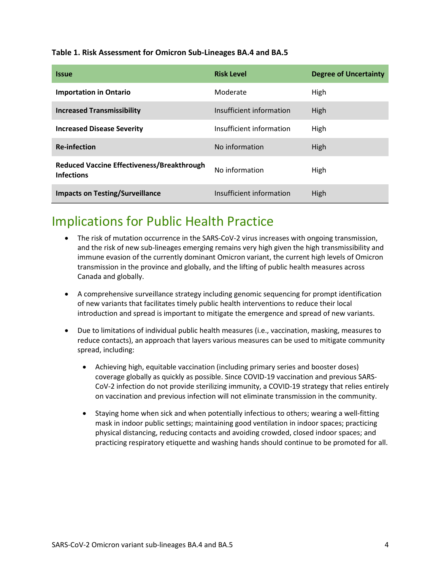#### **Table 1. Risk Assessment for Omicron Sub-Lineages BA.4 and BA.5**

| <b>Issue</b>                                                           | <b>Risk Level</b>        | <b>Degree of Uncertainty</b> |
|------------------------------------------------------------------------|--------------------------|------------------------------|
| <b>Importation in Ontario</b>                                          | Moderate                 | High                         |
| <b>Increased Transmissibility</b>                                      | Insufficient information | High                         |
| <b>Increased Disease Severity</b>                                      | Insufficient information | High                         |
| <b>Re-infection</b>                                                    | No information           | High                         |
| <b>Reduced Vaccine Effectiveness/Breakthrough</b><br><b>Infections</b> | No information           | High                         |
| <b>Impacts on Testing/Surveillance</b>                                 | Insufficient information | High                         |

### Implications for Public Health Practice

- The risk of mutation occurrence in the SARS-CoV-2 virus increases with ongoing transmission, and the risk of new sub-lineages emerging remains very high given the high transmissibility and immune evasion of the currently dominant Omicron variant, the current high levels of Omicron transmission in the province and globally, and the lifting of public health measures across Canada and globally.
- A comprehensive surveillance strategy including genomic sequencing for prompt identification of new variants that facilitates timely public health interventions to reduce their local introduction and spread is important to mitigate the emergence and spread of new variants.
- Due to limitations of individual public health measures (i.e., vaccination, masking, measures to reduce contacts), an approach that layers various measures can be used to mitigate community spread, including:
	- Achieving high, equitable vaccination (including primary series and booster doses) coverage globally as quickly as possible. Since COVID-19 vaccination and previous SARS-CoV-2 infection do not provide sterilizing immunity, a COVID-19 strategy that relies entirely on vaccination and previous infection will not eliminate transmission in the community.
	- Staying home when sick and when potentially infectious to others; wearing a well-fitting mask in indoor public settings; maintaining good ventilation in indoor spaces; practicing physical distancing, reducing contacts and avoiding crowded, closed indoor spaces; and practicing respiratory etiquette and washing hands should continue to be promoted for all.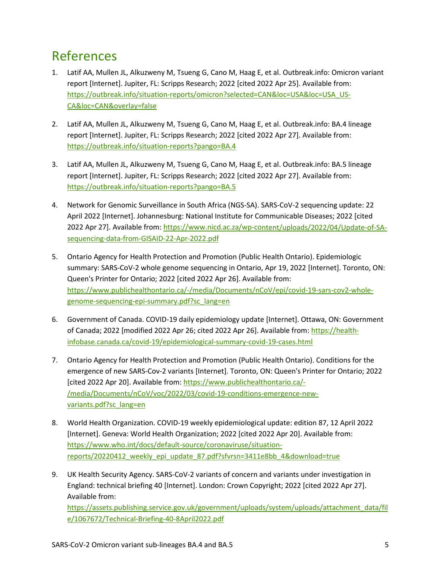## References

- 1. Latif AA, Mullen JL, Alkuzweny M, Tsueng G, Cano M, Haag E, et al. Outbreak.info: Omicron variant report [Internet]. Jupiter, FL: Scripps Research; 2022 [cited 2022 Apr 25]. Available from: [https://outbreak.info/situation-reports/omicron?selected=CAN&loc=USA&loc=USA\\_US-](https://outbreak.info/situation-reports/omicron?selected=CAN&loc=USA&loc=USA_US-CA&loc=CAN&overlay=false)[CA&loc=CAN&overlay=false](https://outbreak.info/situation-reports/omicron?selected=CAN&loc=USA&loc=USA_US-CA&loc=CAN&overlay=false)
- 2. Latif AA, Mullen JL, Alkuzweny M, Tsueng G, Cano M, Haag E, et al. Outbreak.info: BA.4 lineage report [Internet]. Jupiter, FL: Scripps Research; 2022 [cited 2022 Apr 27]. Available from: <https://outbreak.info/situation-reports?pango=BA.4>
- 3. Latif AA, Mullen JL, Alkuzweny M, Tsueng G, Cano M, Haag E, et al. Outbreak.info: BA.5 lineage report [Internet]. Jupiter, FL: Scripps Research; 2022 [cited 2022 Apr 27]. Available from: <https://outbreak.info/situation-reports?pango=BA.5>
- 4. Network for Genomic Surveillance in South Africa (NGS-SA). SARS-CoV-2 sequencing update: 22 April 2022 [Internet]. Johannesburg: National Institute for Communicable Diseases; 2022 [cited 2022 Apr 27]. Available from[: https://www.nicd.ac.za/wp-content/uploads/2022/04/Update-of-SA](http://www.nicd.ac.za/wp-content/uploads/2022/04/Update-of-SA-sequencing-data-from-GISAID-22-Apr-2022.pdf)[sequencing-data-from-GISAID-22-Apr-2022.pdf](http://www.nicd.ac.za/wp-content/uploads/2022/04/Update-of-SA-sequencing-data-from-GISAID-22-Apr-2022.pdf)
- 5. Ontario Agency for Health Protection and Promotion (Public Health Ontario). Epidemiologic summary: SARS-CoV-2 whole genome sequencing in Ontario, Apr 19, 2022 [Internet]. Toronto, ON: Queen's Printer for Ontario; 2022 [cited 2022 Apr 26]. Available from: [https://www.publichealthontario.ca/-/media/Documents/nCoV/epi/covid-19-sars-cov2-whole](http://www.publichealthontario.ca/-/media/Documents/nCoV/epi/covid-19-sars-cov2-whole-genome-sequencing-epi-summary.pdf?sc_lang=en)[genome-sequencing-epi-summary.pdf?sc\\_lang=en](http://www.publichealthontario.ca/-/media/Documents/nCoV/epi/covid-19-sars-cov2-whole-genome-sequencing-epi-summary.pdf?sc_lang=en)
- 6. Government of Canada. COVID-19 daily epidemiology update [Internet]. Ottawa, ON: Government of Canada; 2022 [modified 2022 Apr 26; cited 2022 Apr 26]. Available from: [https://health](https://health-infobase.canada.ca/covid-19/epidemiological-summary-covid-19-cases.html)[infobase.canada.ca/covid-19/epidemiological-summary-covid-19-cases.html](https://health-infobase.canada.ca/covid-19/epidemiological-summary-covid-19-cases.html)
- 7. Ontario Agency for Health Protection and Promotion (Public Health Ontario). Conditions for the emergence of new SARS-Cov-2 variants [Internet]. Toronto, ON: Queen's Printer for Ontario; 2022 [cited 2022 Apr 20]. Available from[: https://www.publichealthontario.ca/-](http://www.publichealthontario.ca/-/media/Documents/nCoV/voc/2022/03/covid-19-conditions-emergence-new-variants.pdf?sc_lang=en) [/media/Documents/nCoV/voc/2022/03/covid-19-conditions-emergence-new](http://www.publichealthontario.ca/-/media/Documents/nCoV/voc/2022/03/covid-19-conditions-emergence-new-variants.pdf?sc_lang=en)[variants.pdf?sc\\_lang=en](http://www.publichealthontario.ca/-/media/Documents/nCoV/voc/2022/03/covid-19-conditions-emergence-new-variants.pdf?sc_lang=en)
- 8. World Health Organization. COVID-19 weekly epidemiological update: edition 87, 12 April 2022 [Internet]. Geneva: World Health Organization; 2022 [cited 2022 Apr 20]. Available from: [https://www.who.int/docs/default-source/coronaviruse/situation](http://www.who.int/docs/default-source/coronaviruse/situation-reports/20220412_weekly_epi_update_87.pdf?sfvrsn=3411e8bb_4&download=true)[reports/20220412\\_weekly\\_epi\\_update\\_87.pdf?sfvrsn=3411e8bb\\_4&download=true](http://www.who.int/docs/default-source/coronaviruse/situation-reports/20220412_weekly_epi_update_87.pdf?sfvrsn=3411e8bb_4&download=true)
- 9. UK Health Security Agency. SARS-CoV-2 variants of concern and variants under investigation in England: technical briefing 40 [Internet]. London: Crown Copyright; 2022 [cited 2022 Apr 27]. Available from: [https://assets.publishing.service.gov.uk/government/uploads/system/uploads/attachment\\_data/fil](https://assets.publishing.service.gov.uk/government/uploads/system/uploads/attachment_data/file/1067672/Technical-Briefing-40-8April2022.pdf) [e/1067672/Technical-Briefing-40-8April2022.pdf](https://assets.publishing.service.gov.uk/government/uploads/system/uploads/attachment_data/file/1067672/Technical-Briefing-40-8April2022.pdf)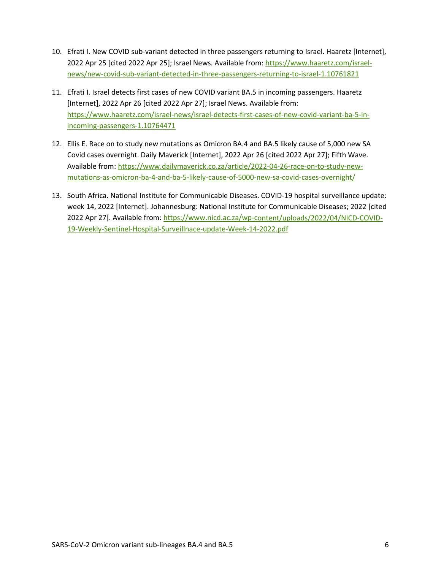- 10. Efrati I. New COVID sub-variant detected in three passengers returning to Israel. Haaretz [Internet], 2022 Apr 25 [cited 2022 Apr 25]; Israel News. Available from[: https://www.haaretz.com/israel](http://www.haaretz.com/israel-news/new-covid-sub-variant-detected-in-three-passengers-returning-to-israel-1.10761821)[news/new-covid-sub-variant-detected-in-three-passengers-returning-to-israel-1.10761821](http://www.haaretz.com/israel-news/new-covid-sub-variant-detected-in-three-passengers-returning-to-israel-1.10761821)
- 11. Efrati I. Israel detects first cases of new COVID variant BA.5 in incoming passengers. Haaretz [Internet], 2022 Apr 26 [cited 2022 Apr 27]; Israel News. Available from: [https://www.haaretz.com/israel-news/israel-detects-first-cases-of-new-covid-variant-ba-5-in](http://www.haaretz.com/israel-news/israel-detects-first-cases-of-new-covid-variant-ba-5-in-incoming-passengers-1.10764471)[incoming-passengers-1.10764471](http://www.haaretz.com/israel-news/israel-detects-first-cases-of-new-covid-variant-ba-5-in-incoming-passengers-1.10764471)
- 12. Ellis E. Race on to study new mutations as Omicron BA.4 and BA.5 likely cause of 5,000 new SA Covid cases overnight. Daily Maverick [Internet], 2022 Apr 26 [cited 2022 Apr 27]; Fifth Wave. Available from[: https://www.dailymaverick.co.za/article/2022-04-26-race-on-to-study-new](http://www.dailymaverick.co.za/article/2022-04-26-race-on-to-study-new-mutations-as-omicron-ba-4-and-ba-5-likely-cause-of-5000-new-sa-covid-cases-overnight/)[mutations-as-omicron-ba-4-and-ba-5-likely-cause-of-5000-new-sa-covid-cases-overnight/](http://www.dailymaverick.co.za/article/2022-04-26-race-on-to-study-new-mutations-as-omicron-ba-4-and-ba-5-likely-cause-of-5000-new-sa-covid-cases-overnight/)
- 13. South Africa. National Institute for Communicable Diseases. COVID-19 hospital surveillance update: week 14, 2022 [Internet]. Johannesburg: National Institute for Communicable Diseases; 2022 [cited 2022 Apr 27]. Available from[: https://www.nicd.ac.za/wp-content/uploads/2022/04/NICD-COVID-](http://www.nicd.ac.za/wp-content/uploads/2022/04/NICD-COVID-19-Weekly-Sentinel-Hospital-Surveillnace-update-Week-14-2022.pdf)[19-Weekly-Sentinel-Hospital-Surveillnace-update-Week-14-2022.pdf](http://www.nicd.ac.za/wp-content/uploads/2022/04/NICD-COVID-19-Weekly-Sentinel-Hospital-Surveillnace-update-Week-14-2022.pdf)